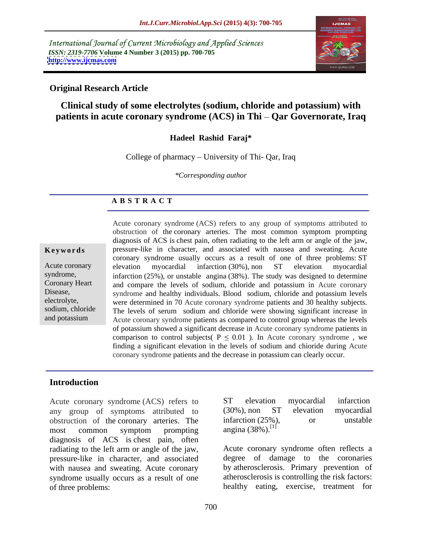International Journal of Current Microbiology and Applied Sciences *ISSN: 2319-7706* **Volume 4 Number 3 (2015) pp. 700-705 <http://www.ijcmas.com>**



# **Original Research Article**

# **Clinical study of some electrolytes (sodium, chloride and potassium) with patients in acute coronary syndrome (ACS) in Thi – Qar Governorate, Iraq**

# **Hadeel Rashid Faraj\***

College of pharmacy  $-$  University of Thi- Oar, Iraq

*\*Corresponding author*

# **A B S T R A C T**

and potassium

Acute coronary syndrome (ACS) refers to any group of symptoms attributed to obstruction of the coronary arteries. The most common symptom prompting diagnosis of ACS is chest pain, often radiating to the left arm or angle of the jaw, **Keywords** pressure-like in character, and associated with nausea and sweating. Acute coronary syndrome usually occurs as a result of one of three problems: ST elevation myocardial infarction (30%), non ST elevation myocardial syndrome, infarction (25%), or unstable angina (38%). The study was designed to determine and compare the levels of sodium, chloride and potassium in Acute coronary Coronary Heart Disease, syndrome and healthy individuals. Blood sodium, chloride and potassium levels electrolyte, were determined in 70 Acute coronary syndrome patients and 30 healthy subjects. sodium, chloride The levels of serum sodium and chloride were showing significant increase in Acute coronary syndrome patients as compared to control group whereas the levels of potassium showed a significant decrease in Acute coronary syndrome patients in comparison to control subjects(  $P \leq 0.01$  ). In Acute coronary syndrome, we finding a significant elevation in the levels of sodium and chioride during Acute coronary syndrome patients and the decrease in potassium can clearly occur. Acute coronary elevation myocardial infarction (30%), non ST elevation myocardial

# **Introduction**

Acute coronary syndrome (ACS) refers to any group of symptoms attributed to obstruction of the coronary arteries. The most common symptom prompting angina  $(38\%)$ .<sup>11</sup> diagnosis of ACS is chest pain, often radiating to the left arm or angle of the jaw, pressure-like in character, and associated with nausea and sweating. Acute coronary syndrome usually occurs as a result of one of three problems: healthy eating, exercise, treatment for

| <b>ST</b><br>elevation           | myocardia. | infarction |  |
|----------------------------------|------------|------------|--|
| $(30\%)$ , non ST                | elevation  | myocardial |  |
| infarction (25%),                | Λr         | unstable   |  |
| angina $(38\%)$ . <sup>[1]</sup> |            |            |  |

Acute coronary syndrome often reflects a degree of damage to the coronaries by atherosclerosis. Primary prevention of atherosclerosis is controlling the risk factors: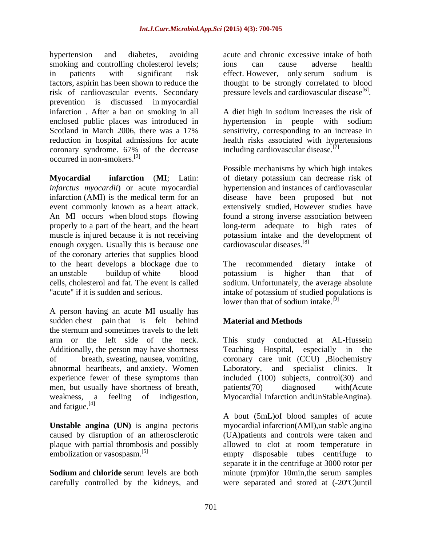hypertension and diabetes, avoiding acute and chronic excessive intake of both smoking and controlling cholesterol levels; ions can cause adverse health in patients with significant risk effect. However, only serum sodium is factors, aspirin has been shown to reduce the thought to be strongly correlated to blood risk of cardiovascular events. Secondary prevention is discussed in myocardial infarction . After a ban on smoking in all A diet high in sodium increases the risk of enclosed public places was introduced in hypertension in people with sodium Scotland in March 2006, there was a 17% sensitivity, corresponding to an increase in reduction in hospital admissions for acute health risks associated with hypertensions coronary syndrome. 67% of the decrease occurred in non-smokers.[2]

**Myocardial infarction** (MI; Latin: of dietary potassium can decrease risk of *infarctus myocardii*) or acute myocardial hypertension and instances of cardiovascular infarction (AMI) is the medical term for an disease have been proposed but not event commonly known as a heart attack. <br>An MI occurs when blood stops flowing found a strong inverse association between properly to a part of the heart, and the heart long-term adequate to high rates of muscle is injured because it is not receiving potassium intake and the development of enough oxygen. Usually this is because one of the coronary arteries that supplies blood to the heart develops a blockage due to an unstable buildup of white blood potassium is higher than that of cells, cholesterol and fat. The event is called sodium. Unfortunately, the average absolute "acute" if it is sudden and serious. intake of potassium of studied populations is

A person having an acute MI usually has sudden chest pain that is felt behind the sternum and sometimes travels to the left Additionally, the person may have shortness Teaching Hospital, especially in the men, but usually have shortness of breath, patients (70) diagnosed with (Acute and fatigue. $^{[4]}$ 

**Unstable angina (UN)** is angina pectoris

carefully controlled by the kidneys, and were separated and stored at (-20ºC)until

ions can cause adverse health effect. However, only serum sodium is pressure levels and cardiovascular disease $^{[6]}$ . .

sensitivity, corresponding to an increase in including cardiovascular disease.<sup>[7]</sup>

Possible mechanisms by which high intakes extensively studied, However studies have found a strong inverse association between cardiovascular diseases.[8]

The recommended dietary intake of potassium is higher than that of lower than that of sodium intake.<sup>[9]</sup>

# **Material and Methods**

arm or the left side of the neck. This study conducted at AL-Hussein of breath, sweating, nausea, vomiting, coronary care unit (CCU) , Biochemistry abnormal heartbeats, and anxiety. Women Laboratory, and specialist clinics. It experience fewer of these symptoms than included (100) subjects, control(30) and weakness, a feeling of indigestion, Myocardial Infarction andUnStableAngina). Teaching Hospital, especially in the coronary care unit (CCU) ,Biochemistry Laboratory, and specialist clinics. It patients(70) diagnosed with(Acute

caused by disruption of an atherosclerotic (UA)patients and controls were taken and plaque with partial thrombosis and possibly allowed to clot at room temperature in embolization or vasospasm.<sup>[5]</sup> empty disposable tubes centrifuge to **Sodium** and **chloride** serum levels are both minute (rpm)for 10min, the serum samples A bout (5mL)of blood samples of acute myocardial infarction(AMI),un stable angina separate it in the centrifuge at 3000 rotor per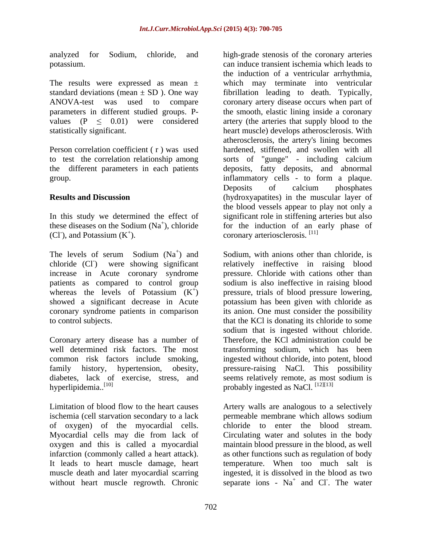analyzed for Sodium, chloride, and high-grade stenosis of the coronary arteries

The results were expressed as mean  $\pm$  which may terminate into ventricular

group.

(CI), and Potassium  $(K^+)$ . coronary arteriosclerosis. [11]

chloride (Cl<sup>-</sup>) were showing significant increase in Acute coronary syndrome pressure. Chloride with cations other than patients as compared to control group whereas the levels of Potassium  $(K^+)$  pressure, trials of blood pressure lowering, showed a significant decrease in Acute potassium has been given with chloride as coronary syndrome patients in comparison its anion. One must consider the possibility to control subjects. that the KCl is donating its chloride to some

Coronary artery disease has a number of hyperlipidemia..<sup>[10]</sup> end as NaCl.<sup>[12][13]</sup> hyperlipidemia..<sup>[10]</sup>

ischemia (cell starvation secondary to a lack of oxygen) of the myocardial cells.

potassium. can induce transient ischemia which leads to standard deviations (mean ± SD ). One way fibrillation leading to death. Typically, ANOVA-test was used to compare coronary artery disease occurs when part of parameters in different studied groups. P- the smooth, elastic lining inside a coronary values  $(P \le 0.01)$  were considered artery (the arteries that supply blood to the statistically significant. heart muscle) develops atherosclerosis. With Person correlation coefficient ( r ) was used hardened, stiffened, and swollen with all to test the correlation relationship among sorts of "gunge" - including calcium the different parameters in each patients deposits, fatty deposits, and abnormal **Results and Discussion** (hydroxyapatites) in the muscular layer of In this study we determined the effect of significant role in stiffening arteries but also these diseases on the Sodium  $(Na^+)$ , chloride for the induction of an early phase of the induction of <sup>a</sup> ventricular arrhythmia, which may terminate into ventricular atherosclerosis, the artery's lining becomes inflammatory cells - to form <sup>a</sup> plaque. Deposits of calcium phosphates the blood vessels appear to play not only a

The levels of serum Sodium  $(Na^+)$  and Sodium, with anions other than chloride, is ) and Sodium, with anions other than chloride, is ) were showing significant relatively ineffective in raising blood ) pressure, trials of blood pressure lowering, well determined risk factors. The most transforming sodium, which has been common risk factors include smoking, ingested without chloride, into potent, blood<br>family history, hypertension, obesity, pressure-raising NaCl. This possibility<br>diabetes, lack of exercise, stress, and seems relatively rem sodium is also ineffective in raising blood sodium that is ingested without chloride. Therefore, the KCl administration could be ingested without chloride, into potent, blood pressure-raising NaCl. This possibility seems relatively remote, as most sodium is

Limitation of blood flow to the heart causes Artery walls are analogous to a selectively Myocardial cells may die from lack of Circulating water and solutes in the body oxygen and this is called a myocardial maintain blood pressure in the blood, as well infarction (commonly called a heart attack). as other functions such as regulation of body It leads to heart muscle damage, heart temperature. When too much salt is muscle death and later myocardial scarring ingested, it is dissolved in the blood as two without heart muscle regrowth. Chronic separate ions -  $Na<sup>+</sup>$  and Cl. The water permeable membrane which allows sodium chloride to enter the blood stream. and Cl. The water . The water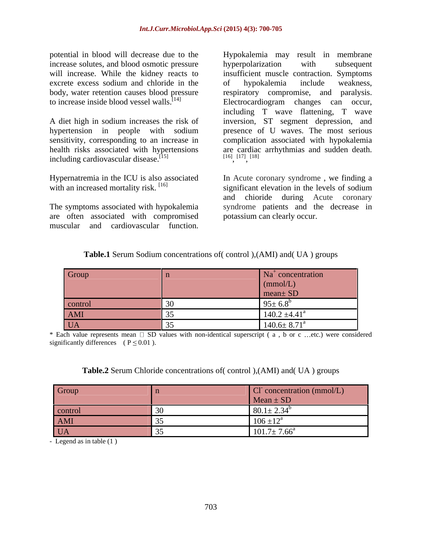potential in blood will decrease due to the **Hypokalemia** may result in membrane increase solutes, and blood osmotic pressure by experiment and provide the subsequent excrete excess sodium and chloride in the of hypokalemia include weakness, to increase inside blood vessel walls.<sup>[14]</sup>

health risks associated with hypertensions are cardiac arrhythmias and sudden death.<br>including cardiovascular disease.<sup>[15]</sup>  $[16]$   $[17]$   $[18]$ including cardiovascular disease.<sup>[15]</sup>

are often associated with compromised

will increase. While the kidney reacts to insufficient muscle contraction. Symptoms body, water retention causes blood pressure respiratory compromise, and paralysis. A diet high in sodium increases the risk of inversion, ST segment depression, and hypertension in people with sodium presence of U waves. The most serious sensitivity, corresponding to an increase in complication associated with hypokalemia potential in blood will decrease due to the Hypokalemia may result in membrane<br>increase solutes, and blood osmotic pressure hyperpeoplarization with subsequent<br>increase. While the kidney reacts to insufficient muscle contr hyperpolarization with subsequent of hypokalemia include weakness, Electrocardiogram changes can occur, including T wave flattening, T wave are cardiac arrhythmias and sudden death.<br> $[16]$   $[17]$   $[18]$  $, \frac{[17]}{[18]}$ , [18]

Hypernatremia in the ICU is also associated In Acute coronary syndrome , we finding a with an increased mortality risk. [16] significant elevation in the levels of sodium The symptoms associated with hypokalemia syndrome patients and the decrease in and chioride during Acute coronary potassium can clearly occur.

| <b>Table.1</b> Serum Sodium concentrations of (control), (AMI) and (UA) groups |  |
|--------------------------------------------------------------------------------|--|
|--------------------------------------------------------------------------------|--|

| Group   |        |                               |
|---------|--------|-------------------------------|
|         |        |                               |
|         |        |                               |
| control | $\sim$ | $\sim$ $\sim$ $\sim$          |
| AMI     |        | 1.402<br>140.2 ±4.4           |
| UA      |        | $140.6 \pm 8.71$ <sup>a</sup> |

\* Each value represents mean  $\Box$  SD values with non-identical superscript ( a , b or c ...etc.) were considered significantly differences (  $P \le 0.01$  ).

## **Table.2** Serum Chloride concentrations of( control ),(AMI) and( UA ) groups

| Group          | concentration (mmol/L)           |
|----------------|----------------------------------|
|                | $Mean + SD$                      |
|                | $\Omega$<br>$00.1 - 2.3$         |
| control<br>AMI | $\sqrt{2}$<br>4.2a<br>$100 - 12$ |
| <b>UA</b>      | 1017.77<br>$101.7 \pm 7.00$      |

- Legend as in table (1 )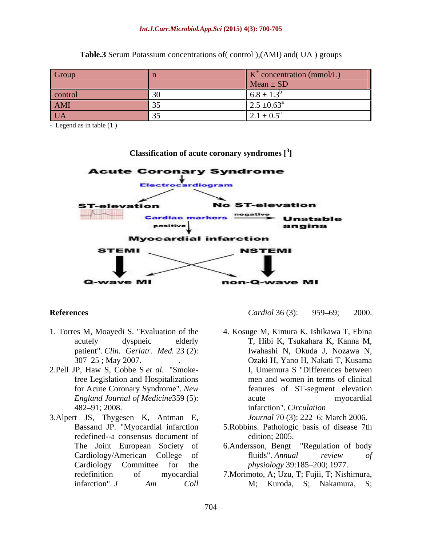### *Int.J.Curr.Microbiol.App.Sci* **(2015) 4(3): 700-705**

| Group         | toncentration (mmol/L)                                                  |
|---------------|-------------------------------------------------------------------------|
|               | $Mean \pm SD$                                                           |
| <b>COLLUT</b> | $0.0 - 1.0$                                                             |
| AMI           | $\sim$ $\sim$ $\sim$<br>$\sim$ $\sim$<br>- .<br>, __, .__               |
| U 1 1         | $\bigcap$ $\mathbb{Z}^n$<br>$\mathcal{L} \cdot 1 = 0 \cdot \mathcal{I}$ |

**Table.3** Serum Potassium concentrations of( control ),(AMI) and( UA ) groups

- Legend as in table (1 )



### **Classification of acute coronary syndromes [<sup>3</sup> ]**

- 1. Torres M, Moayedi S. "Evaluation of the patient". *Clin. Geriatr. Med.* 23 (2):
- 
- redefined--a consensus document of Cardiology Committee for the *physiology* 39:185–200; 1977.

**References Cardiol 36 (3):** 959–69; 2000.

acutely dyspneic elderly T, Hibi K, Tsukahara K, Kanna M, <sup>307</sup> 25 ; May 2007. . 2.Pell JP, Haw S, Cobbe <sup>S</sup> *et al.* "Smokefree Legislation and Hospitalizations men and women in terms of clinical for Acute Coronary Syndrome". *New*  features of ST-segment elevation *England Journal of Medicine*359 (5): 482–91; 2008.<br>
3.Alpert JS, Thygesen K, Antman E, *Journal 70 (3): 222–6;* March 2006. *Cardiol* <sup>36</sup> (3): <sup>959</sup> 69; 2000. 4. Kosuge M, Kimura K, Ishikawa T, Ebina Iwahashi N, Okuda J, Nozawa N, Ozaki H, Yano H, Nakati T, Kusama I, Umemura S "Differences between acute myocardial infarction". *Circulation* 

- Bassand JP. "Myocardial infarction 5. Robbins. Pathologic basis of disease 7th *Journal* 70 (3): 222–6; March 2006.<br>5. Robbins. Pathologic basis of disease 7th
- The Joint European Society of 6.Andersson, Bengt "Regulation of body Cardiology/American College of fluids". Annual review of edition; 2005. 6.Andersson, Bengt "Regulation of body fluids". *Annual review of*
- redefinition of myocardial 7. Morimoto, A; Uzu, T; Fujii, T; Nishimura, infarction". *J Am Coll physiology* 39:185–200; 1977.<br>7.Morimoto, A; Uzu, T; Fujii, T; Nishimura,<br>M; Kuroda, S; Nakamura, S;